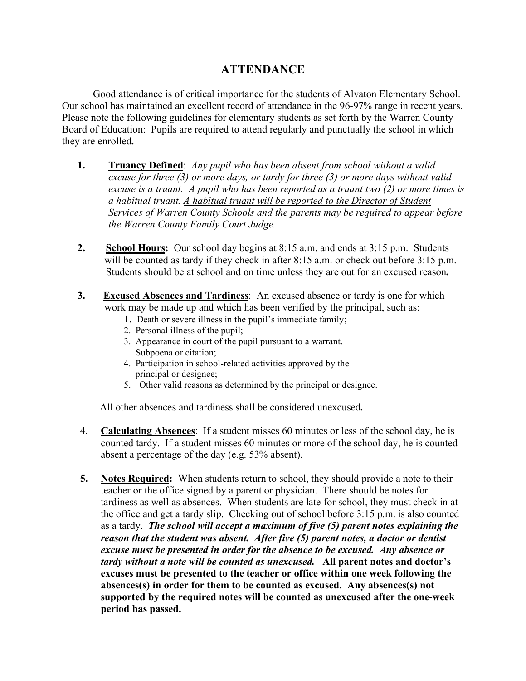## **ATTENDANCE**

Good attendance is of critical importance for the students of Alvaton Elementary School. Our school has maintained an excellent record of attendance in the 96-97% range in recent years. Please note the following guidelines for elementary students as set forth by the Warren County Board of Education: Pupils are required to attend regularly and punctually the school in which they are enrolled**.**

- **1. Truancy Defined**: *Any pupil who has been absent from school without a valid excuse for three (3) or more days, or tardy for three (3) or more days without valid excuse is a truant. A pupil who has been reported as a truant two (2) or more times is a habitual truant. A habitual truant will be reported to the Director of Student Services of Warren County Schools and the parents may be required to appear before the Warren County Family Court Judge.*
- **2. School Hours:** Our school day begins at 8:15 a.m. and ends at 3:15 p.m. Students will be counted as tardy if they check in after 8:15 a.m. or check out before 3:15 p.m. Students should be at school and on time unless they are out for an excused reason**.**
- **3.** Excused Absences and Tardiness: An excused absence or tardy is one for which work may be made up and which has been verified by the principal, such as:
	- 1. Death or severe illness in the pupil's immediate family;
	- 2. Personal illness of the pupil;
	- 3. Appearance in court of the pupil pursuant to a warrant, Subpoena or citation;
	- 4. Participation in school-related activities approved by the principal or designee;
	- 5. Other valid reasons as determined by the principal or designee.

All other absences and tardiness shall be considered unexcused**.**

- 4. **Calculating Absences**: If a student misses 60 minutes or less of the school day, he is counted tardy. If a student misses 60 minutes or more of the school day, he is counted absent a percentage of the day (e.g. 53% absent).
- **5. Notes Required:** When students return to school, they should provide a note to their teacher or the office signed by a parent or physician. There should be notes for tardiness as well as absences. When students are late for school, they must check in at the office and get a tardy slip. Checking out of school before 3:15 p.m. is also counted as a tardy. *The school will accept a maximum of five (5) parent notes explaining the reason that the student was absent. After five (5) parent notes, a doctor or dentist excuse must be presented in order for the absence to be excused. Any absence or tardy without a note will be counted as unexcused.* **All parent notes and doctor's excuses must be presented to the teacher or office within one week following the absences(s) in order for them to be counted as excused. Any absences(s) not supported by the required notes will be counted as unexcused after the one-week period has passed.**